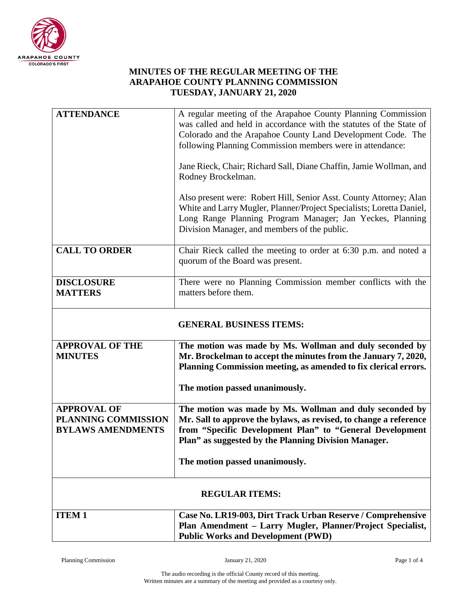

## **MINUTES OF THE REGULAR MEETING OF THE ARAPAHOE COUNTY PLANNING COMMISSION TUESDAY, JANUARY 21, 2020**

| <b>ATTENDANCE</b>                                                     | A regular meeting of the Arapahoe County Planning Commission                                                                                                                                                                                            |  |
|-----------------------------------------------------------------------|---------------------------------------------------------------------------------------------------------------------------------------------------------------------------------------------------------------------------------------------------------|--|
|                                                                       | was called and held in accordance with the statutes of the State of                                                                                                                                                                                     |  |
|                                                                       | Colorado and the Arapahoe County Land Development Code. The<br>following Planning Commission members were in attendance:                                                                                                                                |  |
|                                                                       |                                                                                                                                                                                                                                                         |  |
|                                                                       | Jane Rieck, Chair; Richard Sall, Diane Chaffin, Jamie Wollman, and<br>Rodney Brockelman.                                                                                                                                                                |  |
|                                                                       | Also present were: Robert Hill, Senior Asst. County Attorney; Alan<br>White and Larry Mugler, Planner/Project Specialists; Loretta Daniel,<br>Long Range Planning Program Manager; Jan Yeckes, Planning<br>Division Manager, and members of the public. |  |
| <b>CALL TO ORDER</b>                                                  | Chair Rieck called the meeting to order at 6:30 p.m. and noted a<br>quorum of the Board was present.                                                                                                                                                    |  |
| <b>DISCLOSURE</b><br><b>MATTERS</b>                                   | There were no Planning Commission member conflicts with the<br>matters before them.                                                                                                                                                                     |  |
| <b>GENERAL BUSINESS ITEMS:</b>                                        |                                                                                                                                                                                                                                                         |  |
| <b>APPROVAL OF THE</b><br><b>MINUTES</b>                              | The motion was made by Ms. Wollman and duly seconded by<br>Mr. Brockelman to accept the minutes from the January 7, 2020,<br>Planning Commission meeting, as amended to fix clerical errors.                                                            |  |
|                                                                       | The motion passed unanimously.                                                                                                                                                                                                                          |  |
| <b>APPROVAL OF</b><br>PLANNING COMMISSION<br><b>BYLAWS AMENDMENTS</b> | The motion was made by Ms. Wollman and duly seconded by<br>Mr. Sall to approve the bylaws, as revised, to change a reference<br>from "Specific Development Plan" to "General Development<br>Plan" as suggested by the Planning Division Manager.        |  |
|                                                                       | The motion passed unanimously.                                                                                                                                                                                                                          |  |
| <b>REGULAR ITEMS:</b>                                                 |                                                                                                                                                                                                                                                         |  |
| <b>ITEM1</b>                                                          | Case No. LR19-003, Dirt Track Urban Reserve / Comprehensive<br>Plan Amendment - Larry Mugler, Planner/Project Specialist,<br><b>Public Works and Development (PWD)</b>                                                                                  |  |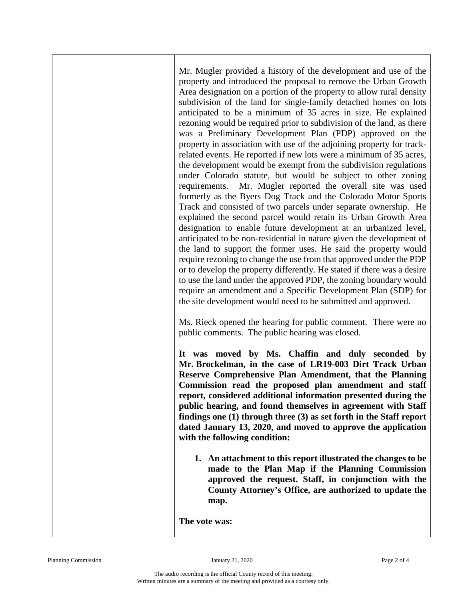Mr. Mugler provided a history of the development and use of the property and introduced the proposal to remove the Urban Growth Area designation on a portion of the property to allow rural density subdivision of the land for single-family detached homes on lots anticipated to be a minimum of 35 acres in size. He explained rezoning would be required prior to subdivision of the land, as there was a Preliminary Development Plan (PDP) approved on the property in association with use of the adjoining property for trackrelated events. He reported if new lots were a minimum of 35 acres, the development would be exempt from the subdivision regulations under Colorado statute, but would be subject to other zoning requirements. Mr. Mugler reported the overall site was used formerly as the Byers Dog Track and the Colorado Motor Sports Track and consisted of two parcels under separate ownership. He explained the second parcel would retain its Urban Growth Area designation to enable future development at an urbanized level, anticipated to be non-residential in nature given the development of the land to support the former uses. He said the property would require rezoning to change the use from that approved under the PDP or to develop the property differently. He stated if there was a desire to use the land under the approved PDP, the zoning boundary would require an amendment and a Specific Development Plan (SDP) for the site development would need to be submitted and approved.

Ms. Rieck opened the hearing for public comment. There were no public comments. The public hearing was closed.

**It was moved by Ms. Chaffin and duly seconded by Mr. Brockelman, in the case of LR19-003 Dirt Track Urban Reserve Comprehensive Plan Amendment, that the Planning Commission read the proposed plan amendment and staff report, considered additional information presented during the public hearing, and found themselves in agreement with Staff findings one (1) through three (3) as set forth in the Staff report dated January 13, 2020, and moved to approve the application with the following condition:**

**1. An attachment to this report illustrated the changes to be made to the Plan Map if the Planning Commission approved the request. Staff, in conjunction with the County Attorney's Office, are authorized to update the map.**

**The vote was:**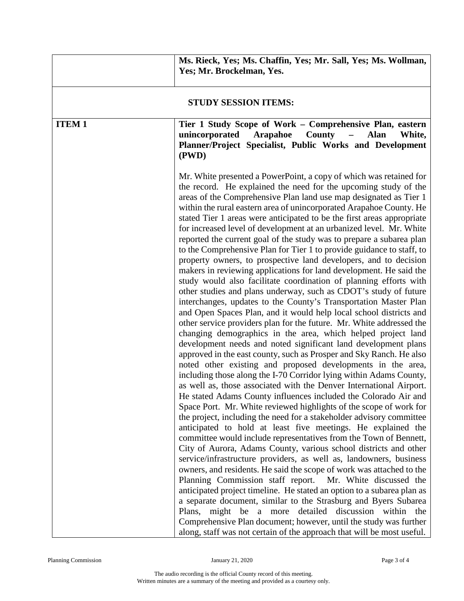|                             | Ms. Rieck, Yes; Ms. Chaffin, Yes; Mr. Sall, Yes; Ms. Wollman,<br>Yes; Mr. Brockelman, Yes.                                                                                                                                                                                                                                                                                                                                                                                                                                                                                                                                                                                                                                                                                                                                                                                                                                                                                                                                                                                                                                                                                                                                                                                                                                                                                                                                                                                                                                                                                                                                                                                                                                                                                                                                                                                                                                                                                                                                                                                                                                                                                                                                                                                                                                                                                                                                                                                                                 |
|-----------------------------|------------------------------------------------------------------------------------------------------------------------------------------------------------------------------------------------------------------------------------------------------------------------------------------------------------------------------------------------------------------------------------------------------------------------------------------------------------------------------------------------------------------------------------------------------------------------------------------------------------------------------------------------------------------------------------------------------------------------------------------------------------------------------------------------------------------------------------------------------------------------------------------------------------------------------------------------------------------------------------------------------------------------------------------------------------------------------------------------------------------------------------------------------------------------------------------------------------------------------------------------------------------------------------------------------------------------------------------------------------------------------------------------------------------------------------------------------------------------------------------------------------------------------------------------------------------------------------------------------------------------------------------------------------------------------------------------------------------------------------------------------------------------------------------------------------------------------------------------------------------------------------------------------------------------------------------------------------------------------------------------------------------------------------------------------------------------------------------------------------------------------------------------------------------------------------------------------------------------------------------------------------------------------------------------------------------------------------------------------------------------------------------------------------------------------------------------------------------------------------------------------------|
| <b>STUDY SESSION ITEMS:</b> |                                                                                                                                                                                                                                                                                                                                                                                                                                                                                                                                                                                                                                                                                                                                                                                                                                                                                                                                                                                                                                                                                                                                                                                                                                                                                                                                                                                                                                                                                                                                                                                                                                                                                                                                                                                                                                                                                                                                                                                                                                                                                                                                                                                                                                                                                                                                                                                                                                                                                                            |
| <b>ITEM1</b>                | Tier 1 Study Scope of Work – Comprehensive Plan, eastern<br>unincorporated<br>Arapahoe<br><b>County</b><br><b>Alan</b><br>$\overline{\phantom{0}}$<br>White,<br>Planner/Project Specialist, Public Works and Development<br>(PWD)                                                                                                                                                                                                                                                                                                                                                                                                                                                                                                                                                                                                                                                                                                                                                                                                                                                                                                                                                                                                                                                                                                                                                                                                                                                                                                                                                                                                                                                                                                                                                                                                                                                                                                                                                                                                                                                                                                                                                                                                                                                                                                                                                                                                                                                                          |
|                             | Mr. White presented a PowerPoint, a copy of which was retained for<br>the record. He explained the need for the upcoming study of the<br>areas of the Comprehensive Plan land use map designated as Tier 1<br>within the rural eastern area of unincorporated Arapahoe County. He<br>stated Tier 1 areas were anticipated to be the first areas appropriate<br>for increased level of development at an urbanized level. Mr. White<br>reported the current goal of the study was to prepare a subarea plan<br>to the Comprehensive Plan for Tier 1 to provide guidance to staff, to<br>property owners, to prospective land developers, and to decision<br>makers in reviewing applications for land development. He said the<br>study would also facilitate coordination of planning efforts with<br>other studies and plans underway, such as CDOT's study of future<br>interchanges, updates to the County's Transportation Master Plan<br>and Open Spaces Plan, and it would help local school districts and<br>other service providers plan for the future. Mr. White addressed the<br>changing demographics in the area, which helped project land<br>development needs and noted significant land development plans<br>approved in the east county, such as Prosper and Sky Ranch. He also<br>noted other existing and proposed developments in the area,<br>including those along the I-70 Corridor lying within Adams County,<br>as well as, those associated with the Denver International Airport.<br>He stated Adams County influences included the Colorado Air and<br>Space Port. Mr. White reviewed highlights of the scope of work for<br>the project, including the need for a stakeholder advisory committee<br>anticipated to hold at least five meetings. He explained the<br>committee would include representatives from the Town of Bennett,<br>City of Aurora, Adams County, various school districts and other<br>service/infrastructure providers, as well as, landowners, business<br>owners, and residents. He said the scope of work was attached to the<br>Planning Commission staff report.<br>Mr. White discussed the<br>anticipated project timeline. He stated an option to a subarea plan as<br>a separate document, similar to the Strasburg and Byers Subarea<br>Plans, might be a more detailed discussion within the<br>Comprehensive Plan document; however, until the study was further<br>along, staff was not certain of the approach that will be most useful. |